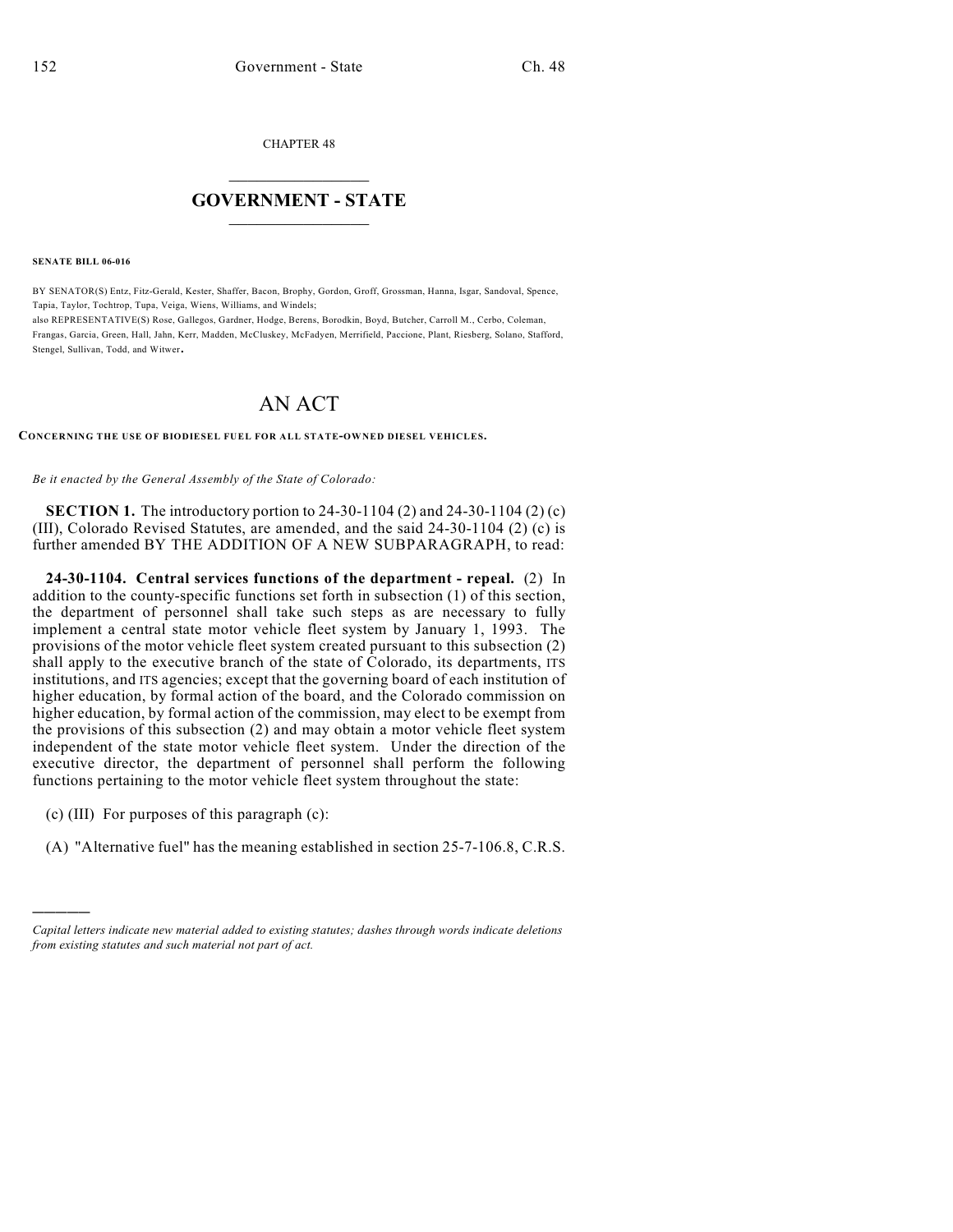CHAPTER 48

## $\overline{\phantom{a}}$  . The set of the set of the set of the set of the set of the set of the set of the set of the set of the set of the set of the set of the set of the set of the set of the set of the set of the set of the set o **GOVERNMENT - STATE**  $\_$

**SENATE BILL 06-016**

BY SENATOR(S) Entz, Fitz-Gerald, Kester, Shaffer, Bacon, Brophy, Gordon, Groff, Grossman, Hanna, Isgar, Sandoval, Spence, Tapia, Taylor, Tochtrop, Tupa, Veiga, Wiens, Williams, and Windels; also REPRESENTATIVE(S) Rose, Gallegos, Gardner, Hodge, Berens, Borodkin, Boyd, Butcher, Carroll M., Cerbo, Coleman, Frangas, Garcia, Green, Hall, Jahn, Kerr, Madden, McCluskey, McFadyen, Merrifield, Paccione, Plant, Riesberg, Solano, Stafford, Stengel, Sullivan, Todd, and Witwer.

## AN ACT

**CONCERNING THE USE OF BIODIESEL FUEL FOR ALL STATE-OWNED DIESEL VEHICLES.**

*Be it enacted by the General Assembly of the State of Colorado:*

**SECTION 1.** The introductory portion to 24-30-1104 (2) and 24-30-1104 (2) (c) (III), Colorado Revised Statutes, are amended, and the said 24-30-1104 (2) (c) is further amended BY THE ADDITION OF A NEW SUBPARAGRAPH, to read:

**24-30-1104. Central services functions of the department - repeal.** (2) In addition to the county-specific functions set forth in subsection (1) of this section, the department of personnel shall take such steps as are necessary to fully implement a central state motor vehicle fleet system by January 1, 1993. The provisions of the motor vehicle fleet system created pursuant to this subsection (2) shall apply to the executive branch of the state of Colorado, its departments, ITS institutions, and ITS agencies; except that the governing board of each institution of higher education, by formal action of the board, and the Colorado commission on higher education, by formal action of the commission, may elect to be exempt from the provisions of this subsection (2) and may obtain a motor vehicle fleet system independent of the state motor vehicle fleet system. Under the direction of the executive director, the department of personnel shall perform the following functions pertaining to the motor vehicle fleet system throughout the state:

(c) (III) For purposes of this paragraph (c):

)))))

(A) "Alternative fuel" has the meaning established in section 25-7-106.8, C.R.S.

*Capital letters indicate new material added to existing statutes; dashes through words indicate deletions from existing statutes and such material not part of act.*